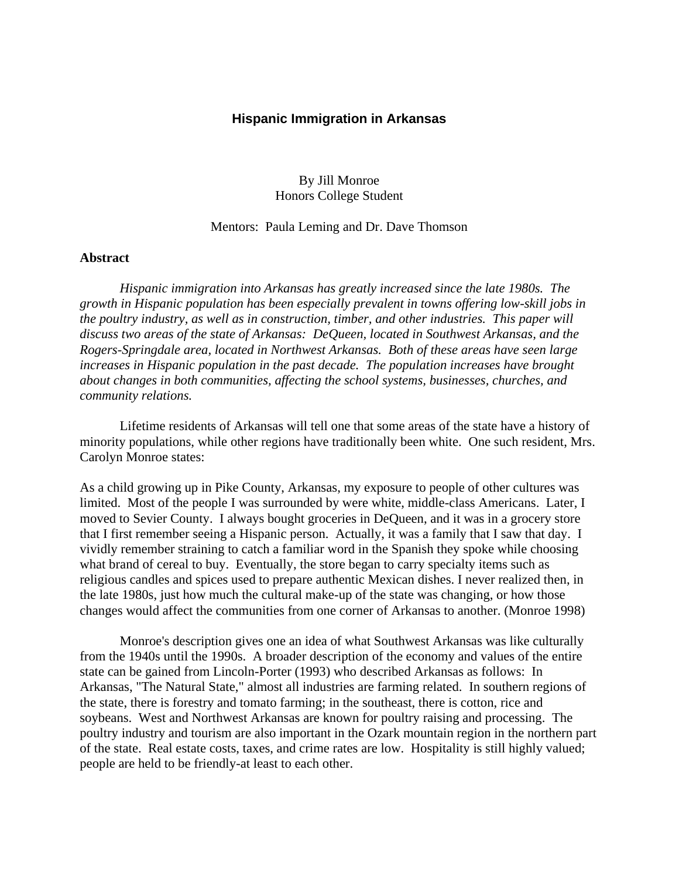## **Hispanic Immigration in Arkansas**

By Jill Monroe Honors College Student

## Mentors: Paula Leming and Dr. Dave Thomson

#### **Abstract**

 *Hispanic immigration into Arkansas has greatly increased since the late 1980s. The growth in Hispanic population has been especially prevalent in towns offering low-skill jobs in the poultry industry, as well as in construction, timber, and other industries. This paper will discuss two areas of the state of Arkansas: DeQueen, located in Southwest Arkansas, and the Rogers-Springdale area, located in Northwest Arkansas. Both of these areas have seen large increases in Hispanic population in the past decade. The population increases have brought about changes in both communities, affecting the school systems, businesses, churches, and community relations.*

 Lifetime residents of Arkansas will tell one that some areas of the state have a history of minority populations, while other regions have traditionally been white. One such resident, Mrs. Carolyn Monroe states:

As a child growing up in Pike County, Arkansas, my exposure to people of other cultures was limited. Most of the people I was surrounded by were white, middle-class Americans. Later, I moved to Sevier County. I always bought groceries in DeQueen, and it was in a grocery store that I first remember seeing a Hispanic person. Actually, it was a family that I saw that day. I vividly remember straining to catch a familiar word in the Spanish they spoke while choosing what brand of cereal to buy. Eventually, the store began to carry specialty items such as religious candles and spices used to prepare authentic Mexican dishes. I never realized then, in the late 1980s, just how much the cultural make-up of the state was changing, or how those changes would affect the communities from one corner of Arkansas to another. (Monroe 1998)

 Monroe's description gives one an idea of what Southwest Arkansas was like culturally from the 1940s until the 1990s. A broader description of the economy and values of the entire state can be gained from Lincoln-Porter (1993) who described Arkansas as follows: In Arkansas, "The Natural State," almost all industries are farming related. In southern regions of the state, there is forestry and tomato farming; in the southeast, there is cotton, rice and soybeans. West and Northwest Arkansas are known for poultry raising and processing. The poultry industry and tourism are also important in the Ozark mountain region in the northern part of the state. Real estate costs, taxes, and crime rates are low. Hospitality is still highly valued; people are held to be friendly-at least to each other.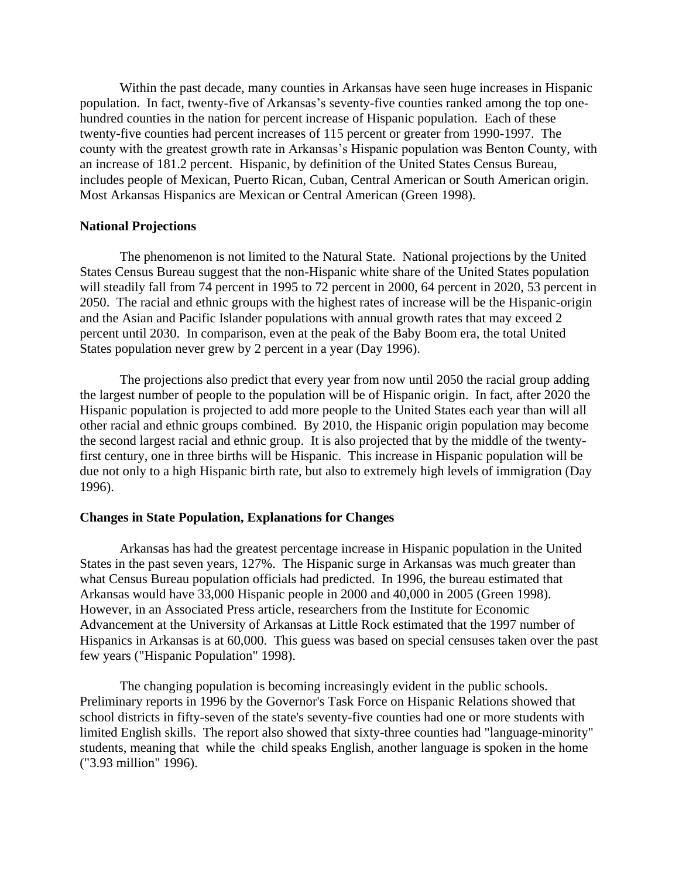Within the past decade, many counties in Arkansas have seen huge increases in Hispanic population. In fact, twenty-five of Arkansas's seventy-five counties ranked among the top onehundred counties in the nation for percent increase of Hispanic population. Each of these twenty-five counties had percent increases of 115 percent or greater from 1990-1997. The county with the greatest growth rate in Arkansas's Hispanic population was Benton County, with an increase of 181.2 percent. Hispanic, by definition of the United States Census Bureau, includes people of Mexican, Puerto Rican, Cuban, Central American or South American origin. Most Arkansas Hispanics are Mexican or Central American (Green 1998).

## **National Projections**

 The phenomenon is not limited to the Natural State. National projections by the United States Census Bureau suggest that the non-Hispanic white share of the United States population will steadily fall from 74 percent in 1995 to 72 percent in 2000, 64 percent in 2020, 53 percent in 2050. The racial and ethnic groups with the highest rates of increase will be the Hispanic-origin and the Asian and Pacific Islander populations with annual growth rates that may exceed 2 percent until 2030. In comparison, even at the peak of the Baby Boom era, the total United States population never grew by 2 percent in a year (Day 1996).

 The projections also predict that every year from now until 2050 the racial group adding the largest number of people to the population will be of Hispanic origin. In fact, after 2020 the Hispanic population is projected to add more people to the United States each year than will all other racial and ethnic groups combined. By 2010, the Hispanic origin population may become the second largest racial and ethnic group. It is also projected that by the middle of the twentyfirst century, one in three births will be Hispanic. This increase in Hispanic population will be due not only to a high Hispanic birth rate, but also to extremely high levels of immigration (Day 1996).

## **Changes in State Population, Explanations for Changes**

 Arkansas has had the greatest percentage increase in Hispanic population in the United States in the past seven years, 127%. The Hispanic surge in Arkansas was much greater than what Census Bureau population officials had predicted. In 1996, the bureau estimated that Arkansas would have 33,000 Hispanic people in 2000 and 40,000 in 2005 (Green 1998). However, in an Associated Press article, researchers from the Institute for Economic Advancement at the University of Arkansas at Little Rock estimated that the 1997 number of Hispanics in Arkansas is at 60,000. This guess was based on special censuses taken over the past few years ("Hispanic Population" 1998).

 The changing population is becoming increasingly evident in the public schools. Preliminary reports in 1996 by the Governor's Task Force on Hispanic Relations showed that school districts in fifty-seven of the state's seventy-five counties had one or more students with limited English skills. The report also showed that sixty-three counties had "language-minority" students, meaning that while the child speaks English, another language is spoken in the home ("3.93 million" 1996).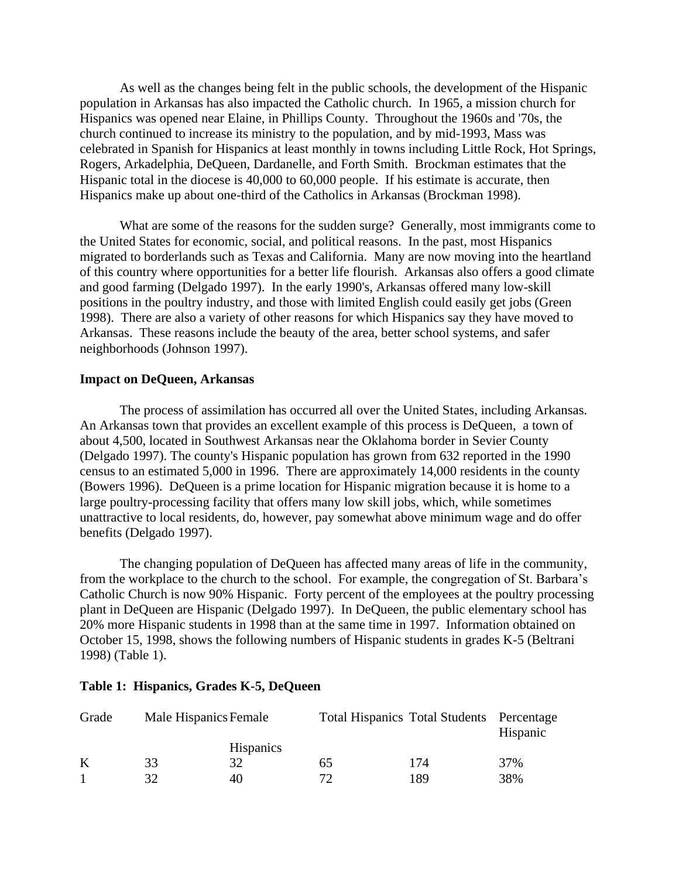As well as the changes being felt in the public schools, the development of the Hispanic population in Arkansas has also impacted the Catholic church. In 1965, a mission church for Hispanics was opened near Elaine, in Phillips County. Throughout the 1960s and '70s, the church continued to increase its ministry to the population, and by mid-1993, Mass was celebrated in Spanish for Hispanics at least monthly in towns including Little Rock, Hot Springs, Rogers, Arkadelphia, DeQueen, Dardanelle, and Forth Smith. Brockman estimates that the Hispanic total in the diocese is 40,000 to 60,000 people. If his estimate is accurate, then Hispanics make up about one-third of the Catholics in Arkansas (Brockman 1998).

 What are some of the reasons for the sudden surge? Generally, most immigrants come to the United States for economic, social, and political reasons. In the past, most Hispanics migrated to borderlands such as Texas and California. Many are now moving into the heartland of this country where opportunities for a better life flourish. Arkansas also offers a good climate and good farming (Delgado 1997). In the early 1990's, Arkansas offered many low-skill positions in the poultry industry, and those with limited English could easily get jobs (Green 1998). There are also a variety of other reasons for which Hispanics say they have moved to Arkansas. These reasons include the beauty of the area, better school systems, and safer neighborhoods (Johnson 1997).

## **Impact on DeQueen, Arkansas**

 The process of assimilation has occurred all over the United States, including Arkansas. An Arkansas town that provides an excellent example of this process is DeQueen, a town of about 4,500, located in Southwest Arkansas near the Oklahoma border in Sevier County (Delgado 1997). The county's Hispanic population has grown from 632 reported in the 1990 census to an estimated 5,000 in 1996. There are approximately 14,000 residents in the county (Bowers 1996). DeQueen is a prime location for Hispanic migration because it is home to a large poultry-processing facility that offers many low skill jobs, which, while sometimes unattractive to local residents, do, however, pay somewhat above minimum wage and do offer benefits (Delgado 1997).

 The changing population of DeQueen has affected many areas of life in the community, from the workplace to the church to the school. For example, the congregation of St. Barbara's Catholic Church is now 90% Hispanic. Forty percent of the employees at the poultry processing plant in DeQueen are Hispanic (Delgado 1997). In DeQueen, the public elementary school has 20% more Hispanic students in 1998 than at the same time in 1997. Information obtained on October 15, 1998, shows the following numbers of Hispanic students in grades K-5 (Beltrani 1998) (Table 1).

| Grade | Male Hispanics Female |                  |              | Total Hispanics Total Students Percentage | Hispanic |
|-------|-----------------------|------------------|--------------|-------------------------------------------|----------|
|       |                       | <b>Hispanics</b> |              |                                           |          |
| K     | 33                    | 32               | 65           | 174                                       | 37%      |
|       | 32                    | 40               | $72^{\circ}$ | 189                                       | 38%      |

#### **Table 1: Hispanics, Grades K-5, DeQueen**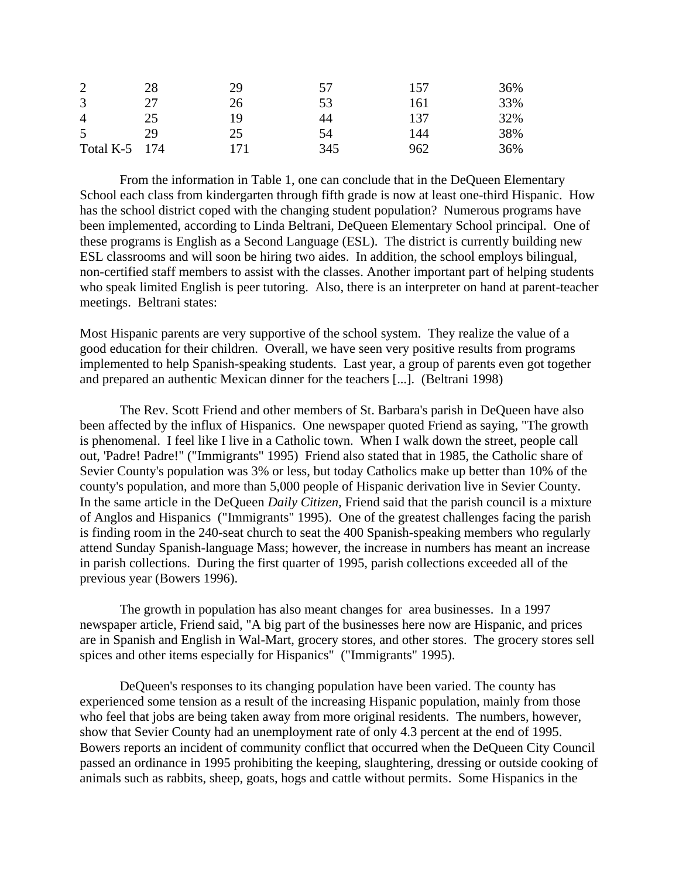| 2              | 28  | 29  | 57  | 157 | 36% |
|----------------|-----|-----|-----|-----|-----|
| 3              | 27  | 26  | 53  | 161 | 33% |
| $\overline{4}$ | 25  | 19  | 44  | 137 | 32% |
| 5              | 29  | 25  | 54  | 144 | 38% |
| Total K-5      | 174 | 171 | 345 | 962 | 36% |

 From the information in Table 1, one can conclude that in the DeQueen Elementary School each class from kindergarten through fifth grade is now at least one-third Hispanic. How has the school district coped with the changing student population? Numerous programs have been implemented, according to Linda Beltrani, DeQueen Elementary School principal. One of these programs is English as a Second Language (ESL). The district is currently building new ESL classrooms and will soon be hiring two aides. In addition, the school employs bilingual, non-certified staff members to assist with the classes. Another important part of helping students who speak limited English is peer tutoring. Also, there is an interpreter on hand at parent-teacher meetings. Beltrani states:

Most Hispanic parents are very supportive of the school system. They realize the value of a good education for their children. Overall, we have seen very positive results from programs implemented to help Spanish-speaking students. Last year, a group of parents even got together and prepared an authentic Mexican dinner for the teachers [...]. (Beltrani 1998)

 The Rev. Scott Friend and other members of St. Barbara's parish in DeQueen have also been affected by the influx of Hispanics. One newspaper quoted Friend as saying, "The growth is phenomenal. I feel like I live in a Catholic town. When I walk down the street, people call out, 'Padre! Padre!" ("Immigrants" 1995) Friend also stated that in 1985, the Catholic share of Sevier County's population was 3% or less, but today Catholics make up better than 10% of the county's population, and more than 5,000 people of Hispanic derivation live in Sevier County. In the same article in the DeQueen *Daily Citizen,* Friend said that the parish council is a mixture of Anglos and Hispanics ("Immigrants" 1995). One of the greatest challenges facing the parish is finding room in the 240-seat church to seat the 400 Spanish-speaking members who regularly attend Sunday Spanish-language Mass; however, the increase in numbers has meant an increase in parish collections. During the first quarter of 1995, parish collections exceeded all of the previous year (Bowers 1996).

 The growth in population has also meant changes for area businesses. In a 1997 newspaper article, Friend said, "A big part of the businesses here now are Hispanic, and prices are in Spanish and English in Wal-Mart, grocery stores, and other stores. The grocery stores sell spices and other items especially for Hispanics" ("Immigrants" 1995).

 DeQueen's responses to its changing population have been varied. The county has experienced some tension as a result of the increasing Hispanic population, mainly from those who feel that jobs are being taken away from more original residents. The numbers, however, show that Sevier County had an unemployment rate of only 4.3 percent at the end of 1995. Bowers reports an incident of community conflict that occurred when the DeQueen City Council passed an ordinance in 1995 prohibiting the keeping, slaughtering, dressing or outside cooking of animals such as rabbits, sheep, goats, hogs and cattle without permits. Some Hispanics in the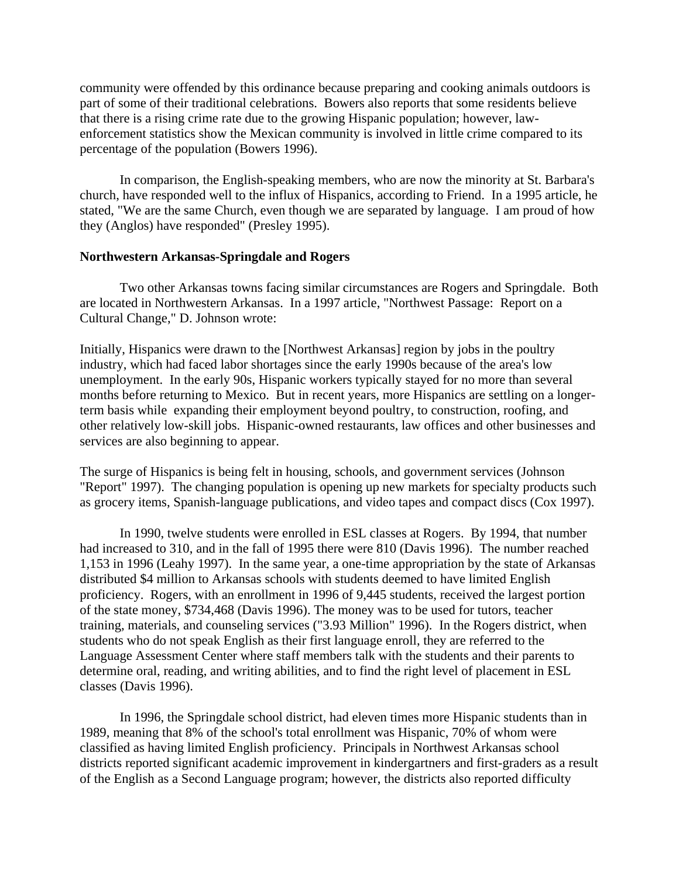community were offended by this ordinance because preparing and cooking animals outdoors is part of some of their traditional celebrations. Bowers also reports that some residents believe that there is a rising crime rate due to the growing Hispanic population; however, lawenforcement statistics show the Mexican community is involved in little crime compared to its percentage of the population (Bowers 1996).

 In comparison, the English-speaking members, who are now the minority at St. Barbara's church, have responded well to the influx of Hispanics, according to Friend. In a 1995 article, he stated, "We are the same Church, even though we are separated by language. I am proud of how they (Anglos) have responded" (Presley 1995).

## **Northwestern Arkansas-Springdale and Rogers**

 Two other Arkansas towns facing similar circumstances are Rogers and Springdale. Both are located in Northwestern Arkansas. In a 1997 article, "Northwest Passage: Report on a Cultural Change," D. Johnson wrote:

Initially, Hispanics were drawn to the [Northwest Arkansas] region by jobs in the poultry industry, which had faced labor shortages since the early 1990s because of the area's low unemployment. In the early 90s, Hispanic workers typically stayed for no more than several months before returning to Mexico. But in recent years, more Hispanics are settling on a longerterm basis while expanding their employment beyond poultry, to construction, roofing, and other relatively low-skill jobs. Hispanic-owned restaurants, law offices and other businesses and services are also beginning to appear.

The surge of Hispanics is being felt in housing, schools, and government services (Johnson "Report" 1997). The changing population is opening up new markets for specialty products such as grocery items, Spanish-language publications, and video tapes and compact discs (Cox 1997).

 In 1990, twelve students were enrolled in ESL classes at Rogers. By 1994, that number had increased to 310, and in the fall of 1995 there were 810 (Davis 1996). The number reached 1,153 in 1996 (Leahy 1997). In the same year, a one-time appropriation by the state of Arkansas distributed \$4 million to Arkansas schools with students deemed to have limited English proficiency. Rogers, with an enrollment in 1996 of 9,445 students, received the largest portion of the state money, \$734,468 (Davis 1996). The money was to be used for tutors, teacher training, materials, and counseling services ("3.93 Million" 1996). In the Rogers district, when students who do not speak English as their first language enroll, they are referred to the Language Assessment Center where staff members talk with the students and their parents to determine oral, reading, and writing abilities, and to find the right level of placement in ESL classes (Davis 1996).

 In 1996, the Springdale school district, had eleven times more Hispanic students than in 1989, meaning that 8% of the school's total enrollment was Hispanic, 70% of whom were classified as having limited English proficiency. Principals in Northwest Arkansas school districts reported significant academic improvement in kindergartners and first-graders as a result of the English as a Second Language program; however, the districts also reported difficulty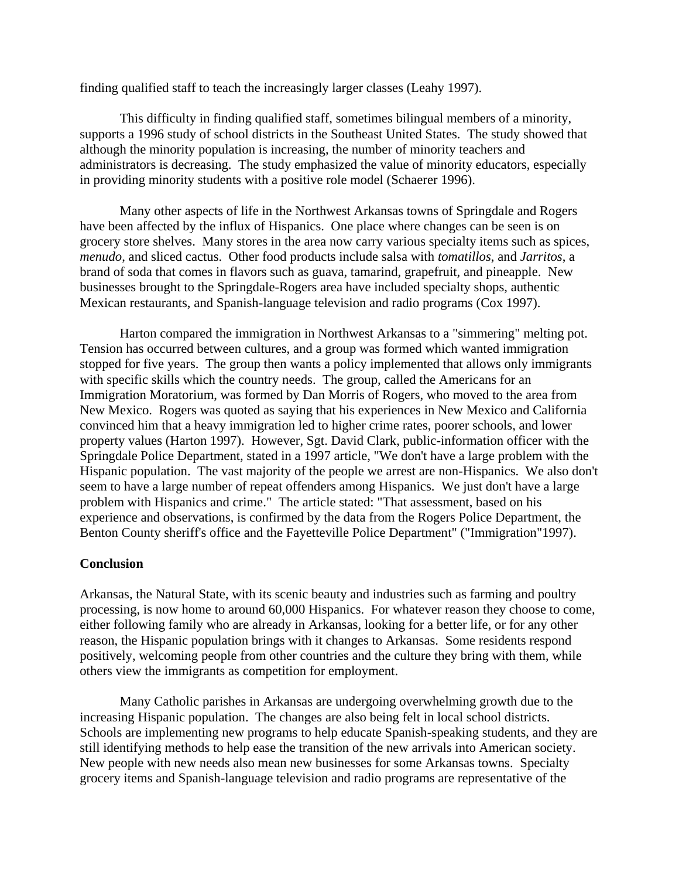finding qualified staff to teach the increasingly larger classes (Leahy 1997).

 This difficulty in finding qualified staff, sometimes bilingual members of a minority, supports a 1996 study of school districts in the Southeast United States. The study showed that although the minority population is increasing, the number of minority teachers and administrators is decreasing. The study emphasized the value of minority educators, especially in providing minority students with a positive role model (Schaerer 1996).

 Many other aspects of life in the Northwest Arkansas towns of Springdale and Rogers have been affected by the influx of Hispanics. One place where changes can be seen is on grocery store shelves. Many stores in the area now carry various specialty items such as spices, *menudo*, and sliced cactus. Other food products include salsa with *tomatillos*, and *Jarritos*, a brand of soda that comes in flavors such as guava, tamarind, grapefruit, and pineapple. New businesses brought to the Springdale-Rogers area have included specialty shops, authentic Mexican restaurants, and Spanish-language television and radio programs (Cox 1997).

 Harton compared the immigration in Northwest Arkansas to a "simmering" melting pot. Tension has occurred between cultures, and a group was formed which wanted immigration stopped for five years. The group then wants a policy implemented that allows only immigrants with specific skills which the country needs. The group, called the Americans for an Immigration Moratorium, was formed by Dan Morris of Rogers, who moved to the area from New Mexico. Rogers was quoted as saying that his experiences in New Mexico and California convinced him that a heavy immigration led to higher crime rates, poorer schools, and lower property values (Harton 1997). However, Sgt. David Clark, public-information officer with the Springdale Police Department, stated in a 1997 article, "We don't have a large problem with the Hispanic population. The vast majority of the people we arrest are non-Hispanics. We also don't seem to have a large number of repeat offenders among Hispanics. We just don't have a large problem with Hispanics and crime." The article stated: "That assessment, based on his experience and observations, is confirmed by the data from the Rogers Police Department, the Benton County sheriff's office and the Fayetteville Police Department" ("Immigration"1997).

### **Conclusion**

Arkansas, the Natural State, with its scenic beauty and industries such as farming and poultry processing, is now home to around 60,000 Hispanics. For whatever reason they choose to come, either following family who are already in Arkansas, looking for a better life, or for any other reason, the Hispanic population brings with it changes to Arkansas. Some residents respond positively, welcoming people from other countries and the culture they bring with them, while others view the immigrants as competition for employment.

 Many Catholic parishes in Arkansas are undergoing overwhelming growth due to the increasing Hispanic population. The changes are also being felt in local school districts. Schools are implementing new programs to help educate Spanish-speaking students, and they are still identifying methods to help ease the transition of the new arrivals into American society. New people with new needs also mean new businesses for some Arkansas towns. Specialty grocery items and Spanish-language television and radio programs are representative of the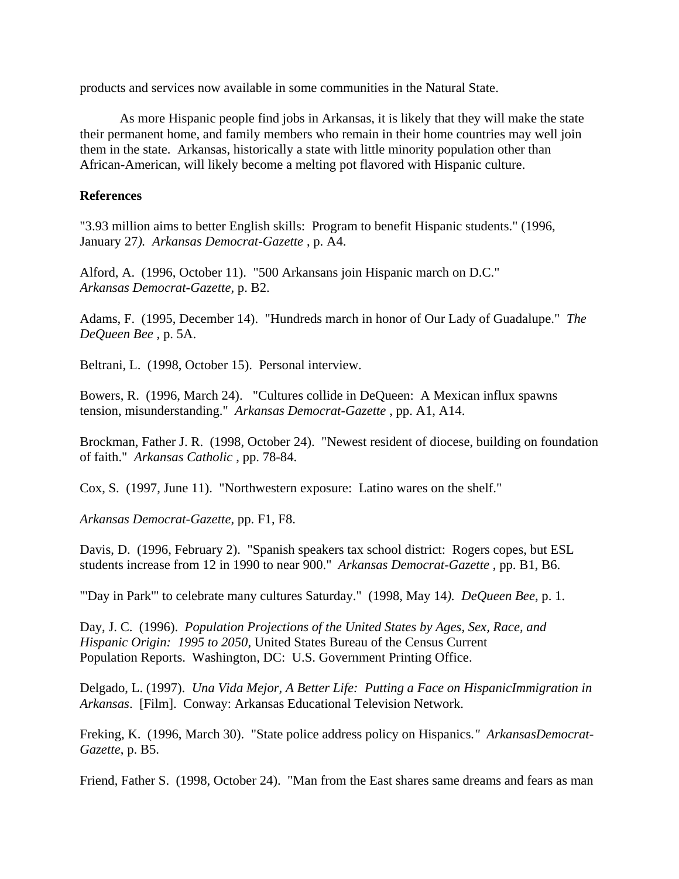products and services now available in some communities in the Natural State.

 As more Hispanic people find jobs in Arkansas, it is likely that they will make the state their permanent home, and family members who remain in their home countries may well join them in the state. Arkansas, historically a state with little minority population other than African-American, will likely become a melting pot flavored with Hispanic culture.

# **References**

"3.93 million aims to better English skills: Program to benefit Hispanic students." (1996, January 27*). Arkansas Democrat-Gazette* , p. A4.

Alford, A. (1996, October 11). "500 Arkansans join Hispanic march on D.C." *Arkansas Democrat-Gazette,* p. B2.

Adams, F. (1995, December 14). "Hundreds march in honor of Our Lady of Guadalupe." *The DeQueen Bee* , p. 5A.

Beltrani, L. (1998, October 15). Personal interview.

Bowers, R. (1996, March 24). "Cultures collide in DeQueen: A Mexican influx spawns tension, misunderstanding." *Arkansas Democrat-Gazette* , pp. A1, A14.

Brockman, Father J. R. (1998, October 24). "Newest resident of diocese, building on foundation of faith." *Arkansas Catholic* , pp. 78-84.

Cox, S. (1997, June 11). "Northwestern exposure: Latino wares on the shelf."

*Arkansas Democrat-Gazette*, pp. F1, F8.

Davis, D. (1996, February 2). "Spanish speakers tax school district: Rogers copes, but ESL students increase from 12 in 1990 to near 900." *Arkansas Democrat-Gazette* , pp. B1, B6.

"'Day in Park'" to celebrate many cultures Saturday." (1998, May 14*). DeQueen Bee*, p. 1.

Day, J. C. (1996). *Population Projections of the United States by Ages, Sex, Race, and Hispanic Origin: 1995 to 2050*, United States Bureau of the Census Current Population Reports. Washington, DC: U.S. Government Printing Office.

Delgado, L. (1997). *Una Vida Mejor, A Better Life: Putting a Face on HispanicImmigration in Arkansas*. [Film]. Conway: Arkansas Educational Television Network.

Freking, K. (1996, March 30). "State police address policy on Hispanics*." ArkansasDemocrat-Gazette*, p. B5.

Friend, Father S. (1998, October 24). "Man from the East shares same dreams and fears as man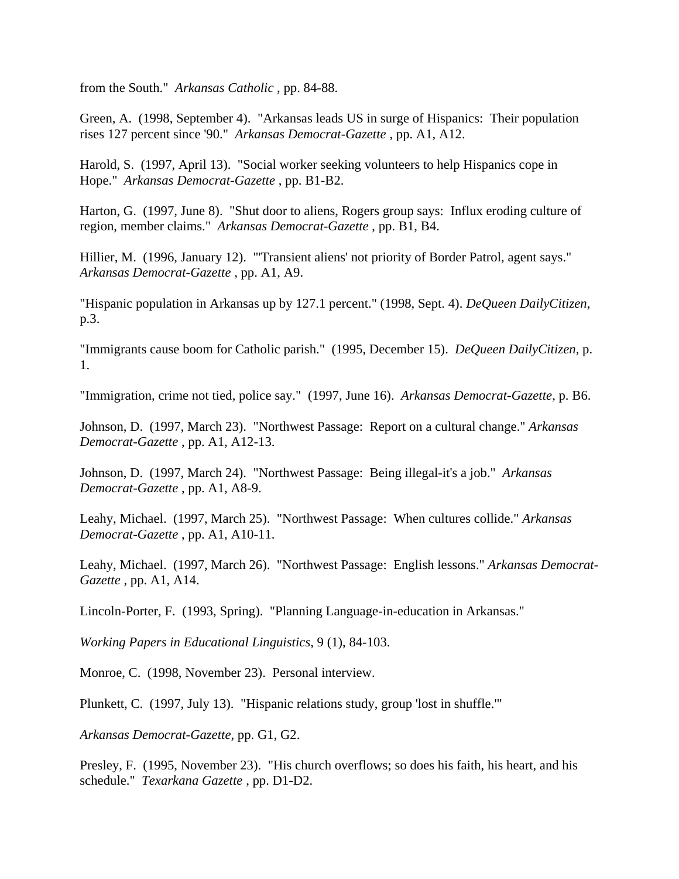from the South." *Arkansas Catholic* , pp. 84-88.

Green, A. (1998, September 4). "Arkansas leads US in surge of Hispanics: Their population rises 127 percent since '90." *Arkansas Democrat-Gazette* , pp. A1, A12.

Harold, S. (1997, April 13). "Social worker seeking volunteers to help Hispanics cope in Hope." *Arkansas Democrat-Gazette* , pp. B1-B2.

Harton, G. (1997, June 8). "Shut door to aliens, Rogers group says: Influx eroding culture of region, member claims." *Arkansas Democrat-Gazette* , pp. B1, B4.

Hillier, M. (1996, January 12). "'Transient aliens' not priority of Border Patrol, agent says." *Arkansas Democrat-Gazette* , pp. A1, A9.

"Hispanic population in Arkansas up by 127.1 percent." (1998, Sept. 4). *DeQueen DailyCitizen*, p.3.

"Immigrants cause boom for Catholic parish." (1995, December 15). *DeQueen DailyCitizen,* p. 1.

"Immigration, crime not tied, police say." (1997, June 16). *Arkansas Democrat-Gazette*, p. B6.

Johnson, D. (1997, March 23). "Northwest Passage: Report on a cultural change." *Arkansas Democrat-Gazette* , pp. A1, A12-13.

Johnson, D. (1997, March 24). "Northwest Passage: Being illegal-it's a job." *Arkansas Democrat-Gazette* , pp. A1, A8-9.

Leahy, Michael. (1997, March 25). "Northwest Passage: When cultures collide." *Arkansas Democrat-Gazette* , pp. A1, A10-11.

Leahy, Michael. (1997, March 26). "Northwest Passage: English lessons." *Arkansas Democrat-Gazette* , pp. A1, A14.

Lincoln-Porter, F. (1993, Spring). "Planning Language-in-education in Arkansas."

*Working Papers in Educational Linguistics*, 9 (1), 84-103.

Monroe, C. (1998, November 23). Personal interview.

Plunkett, C. (1997, July 13). "Hispanic relations study, group 'lost in shuffle.'"

*Arkansas Democrat-Gazette*, pp. G1, G2.

Presley, F. (1995, November 23). "His church overflows; so does his faith, his heart, and his schedule." *Texarkana Gazette* , pp. D1-D2.